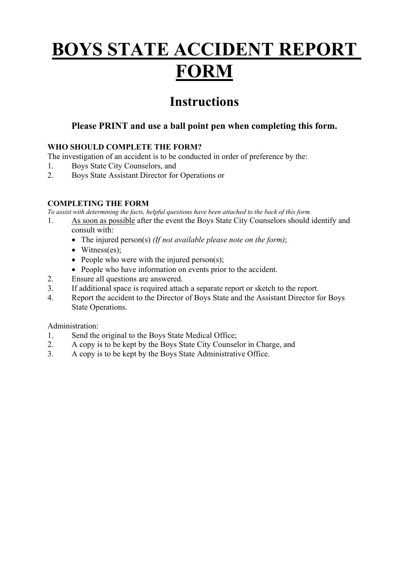# **BOYS STATE ACCIDENT REPORT FORM**

# **Instructions**

## **Please PRINT and use a ball point pen when completing this form.**

## **WHO SHOULD COMPLETE THE FORM?**

The investigation of an accident is to be conducted in order of preference by the:

- 1. Boys State City Counselors, and
- 2. Boys State Assistant Director for Operations or

## **COMPLETING THE FORM**

*To assist with determining the facts, helpful questions have been attached to the back of this form.*

- 1. As soon as possible after the event the Boys State City Counselors should identify and consult with:
	- The injured person(s) *(If not available please note on the form)*;
	- Witness(es);
	- People who were with the injured person(s);
	- People who have information on events prior to the accident.
- 2. Ensure all questions are answered.
- 3. If additional space is required attach a separate report or sketch to the report.
- 4. Report the accident to the Director of Boys State and the Assistant Director for Boys State Operations.

Administration:

- 1. Send the original to the Boys State Medical Office;
- 2. A copy is to be kept by the Boys State City Counselor in Charge, and
- 3. A copy is to be kept by the Boys State Administrative Office.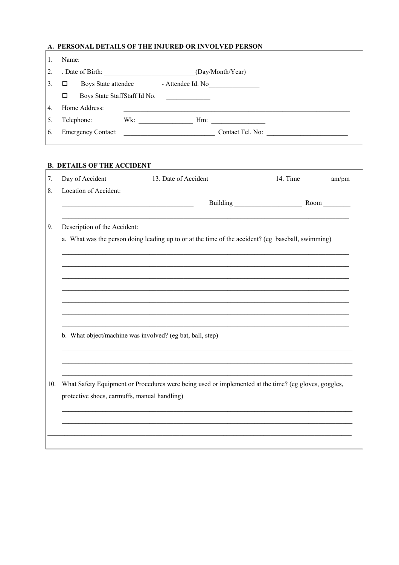# A. PERSONAL DETAILS OF THE INJURED OR INVOLVED PERSON

|                  | Name:                             |                   |  |  |
|------------------|-----------------------------------|-------------------|--|--|
| 2                | . Date of Birth:                  | (Day/Month/Year)  |  |  |
| $\overline{3}$   | Boys State attendee<br>□          | - Attendee Id. No |  |  |
|                  | Boys State StaffStaff Id No.<br>□ |                   |  |  |
| $\overline{4}$ . | Home Address:                     |                   |  |  |
| $\overline{5}$   | Telephone:<br>Wk:                 | $Hm$ :            |  |  |
| 6.               | <b>Emergency Contact:</b>         | Contact Tel. No:  |  |  |

# **B. DETAILS OF THE ACCIDENT**

|                                                                                                                           | Day of Accident 13. Date of Accident<br>$\label{eq:2.1} \frac{1}{\sqrt{2\pi}}\left(\frac{1}{\sqrt{2\pi}}\right)^{1/2}\left(\frac{1}{\sqrt{2\pi}}\right)^{1/2}\left(\frac{1}{\sqrt{2\pi}}\right)^{1/2}\left(\frac{1}{\sqrt{2\pi}}\right)^{1/2}\left(\frac{1}{\sqrt{2\pi}}\right)^{1/2}\left(\frac{1}{\sqrt{2\pi}}\right)^{1/2}\left(\frac{1}{\sqrt{2\pi}}\right)^{1/2}\left(\frac{1}{\sqrt{2\pi}}\right)^{1/2}\left(\frac{1}{\sqrt{2\pi}}\right)^{1/2}\left(\frac{1}{\sqrt{$ | 14. Time am/pm |  |  |  |  |
|---------------------------------------------------------------------------------------------------------------------------|-----------------------------------------------------------------------------------------------------------------------------------------------------------------------------------------------------------------------------------------------------------------------------------------------------------------------------------------------------------------------------------------------------------------------------------------------------------------------------|----------------|--|--|--|--|
| Location of Accident:                                                                                                     |                                                                                                                                                                                                                                                                                                                                                                                                                                                                             |                |  |  |  |  |
| <u> 1989 - Johann John Stone, mars et al. (</u>                                                                           |                                                                                                                                                                                                                                                                                                                                                                                                                                                                             |                |  |  |  |  |
| the control of the control of the control of the control of the control of the control of<br>Description of the Accident: |                                                                                                                                                                                                                                                                                                                                                                                                                                                                             |                |  |  |  |  |
| a. What was the person doing leading up to or at the time of the accident? (eg baseball, swimming)                        |                                                                                                                                                                                                                                                                                                                                                                                                                                                                             |                |  |  |  |  |
|                                                                                                                           |                                                                                                                                                                                                                                                                                                                                                                                                                                                                             |                |  |  |  |  |
|                                                                                                                           |                                                                                                                                                                                                                                                                                                                                                                                                                                                                             |                |  |  |  |  |
|                                                                                                                           |                                                                                                                                                                                                                                                                                                                                                                                                                                                                             |                |  |  |  |  |
|                                                                                                                           |                                                                                                                                                                                                                                                                                                                                                                                                                                                                             |                |  |  |  |  |
|                                                                                                                           | b. What object/machine was involved? (eg bat, ball, step)                                                                                                                                                                                                                                                                                                                                                                                                                   |                |  |  |  |  |
|                                                                                                                           |                                                                                                                                                                                                                                                                                                                                                                                                                                                                             |                |  |  |  |  |
|                                                                                                                           | What Safety Equipment or Procedures were being used or implemented at the time? (eg gloves, goggles,                                                                                                                                                                                                                                                                                                                                                                        |                |  |  |  |  |
| protective shoes, earmuffs, manual handling)                                                                              |                                                                                                                                                                                                                                                                                                                                                                                                                                                                             |                |  |  |  |  |
|                                                                                                                           |                                                                                                                                                                                                                                                                                                                                                                                                                                                                             |                |  |  |  |  |
|                                                                                                                           |                                                                                                                                                                                                                                                                                                                                                                                                                                                                             |                |  |  |  |  |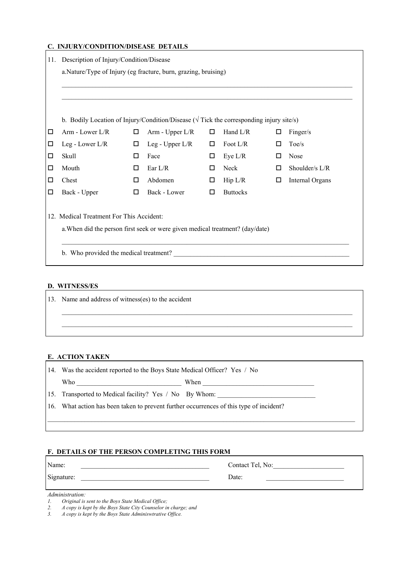## **C. INJURY/CONDITION/DISEASE DETAILS**

| 11. |                                                                                                        | Description of Injury/Condition/Disease |                   |   |                 |   |                 |  |
|-----|--------------------------------------------------------------------------------------------------------|-----------------------------------------|-------------------|---|-----------------|---|-----------------|--|
|     | a. Nature/Type of Injury (eg fracture, burn, grazing, bruising)                                        |                                         |                   |   |                 |   |                 |  |
|     |                                                                                                        |                                         |                   |   |                 |   |                 |  |
|     |                                                                                                        |                                         |                   |   |                 |   |                 |  |
|     |                                                                                                        |                                         |                   |   |                 |   |                 |  |
|     | b. Bodily Location of Injury/Condition/Disease ( $\sqrt{\text{Tick}}$ the corresponding injury site/s) |                                         |                   |   |                 |   |                 |  |
| □   | Arm - Lower $L/R$                                                                                      | □                                       | Arm - Upper L/R   | □ | Hand L/R        | □ | Finger/s        |  |
| □   | Leg - Lower L/R                                                                                        | □                                       | Leg - Upper $L/R$ | □ | Foot L/R        | □ | Toe/s           |  |
| □   | Skull                                                                                                  | □                                       | Face              | □ | Eye $L/R$       | □ | Nose            |  |
| □   | Mouth                                                                                                  | □                                       | Ear $L/R$         | □ | Neck            | □ | Shoulder/s L/R  |  |
| □   | Chest                                                                                                  | □                                       | Abdomen           | □ | Hip L/R         | □ | Internal Organs |  |
| □   | Back - Upper                                                                                           | □                                       | Back - Lower      | □ | <b>Buttocks</b> |   |                 |  |
|     |                                                                                                        |                                         |                   |   |                 |   |                 |  |
|     | 12. Medical Treatment For This Accident:                                                               |                                         |                   |   |                 |   |                 |  |
|     | a. When did the person first seek or were given medical treatment? (day/date)                          |                                         |                   |   |                 |   |                 |  |
|     |                                                                                                        |                                         |                   |   |                 |   |                 |  |
|     | b. Who provided the medical treatment?                                                                 |                                         |                   |   |                 |   |                 |  |
|     |                                                                                                        |                                         |                   |   |                 |   |                 |  |

# **D. WITNESS/ES**

| 13. Name and address of witness(es) to the accident |  |  |  |  |
|-----------------------------------------------------|--|--|--|--|
|                                                     |  |  |  |  |
|                                                     |  |  |  |  |
|                                                     |  |  |  |  |
|                                                     |  |  |  |  |

## **E. ACTION TAKEN**

| 14. | Was the accident reported to the Boys State Medical Officer? Yes / No               |      |  |
|-----|-------------------------------------------------------------------------------------|------|--|
|     | Who                                                                                 | When |  |
|     | 15. Transported to Medical facility? Yes / No By Whom:                              |      |  |
| 16. | What action has been taken to prevent further occurrences of this type of incident? |      |  |
|     |                                                                                     |      |  |

#### **F. DETAILS OF THE PERSON COMPLETING THIS FORM**

| Name:      | Contact Tel, No: |
|------------|------------------|
| Signature: | Date:            |
| $\cdots$   |                  |

#### *Administration:*

- *1. Original is sent to the Boys State Medical Office;*
- *2. A copy is kept by the Boys State City Counselor in charge; and*
- *3. A copy is kept by the Boys State Adminiswtrative Office.*